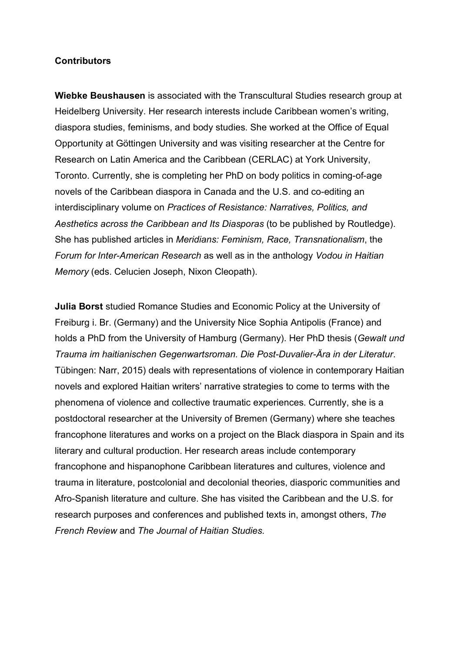## **Contributors**

**Wiebke Beushausen** is associated with the Transcultural Studies research group at Heidelberg University. Her research interests include Caribbean women's writing, diaspora studies, feminisms, and body studies. She worked at the Office of Equal Opportunity at Göttingen University and was visiting researcher at the Centre for Research on Latin America and the Caribbean (CERLAC) at York University, Toronto. Currently, she is completing her PhD on body politics in coming-of-age novels of the Caribbean diaspora in Canada and the U.S. and co-editing an interdisciplinary volume on *Practices of Resistance: Narratives, Politics, and Aesthetics across the Caribbean and Its Diasporas* (to be published by Routledge). She has published articles in *Meridians: Feminism, Race, Transnationalism*, the *Forum for Inter-American Research* as well as in the anthology *Vodou in Haitian Memory* (eds. Celucien Joseph, Nixon Cleopath).

**Julia Borst** studied Romance Studies and Economic Policy at the University of Freiburg i. Br. (Germany) and the University Nice Sophia Antipolis (France) and holds a PhD from the University of Hamburg (Germany). Her PhD thesis (*Gewalt und Trauma im haitianischen Gegenwartsroman. Die Post-Duvalier-Ära in der Literatur*. Tübingen: Narr, 2015) deals with representations of violence in contemporary Haitian novels and explored Haitian writers' narrative strategies to come to terms with the phenomena of violence and collective traumatic experiences. Currently, she is a postdoctoral researcher at the University of Bremen (Germany) where she teaches francophone literatures and works on a project on the Black diaspora in Spain and its literary and cultural production. Her research areas include contemporary francophone and hispanophone Caribbean literatures and cultures, violence and trauma in literature, postcolonial and decolonial theories, diasporic communities and Afro-Spanish literature and culture. She has visited the Caribbean and the U.S. for research purposes and conferences and published texts in, amongst others, *The French Review* and *The Journal of Haitian Studies.*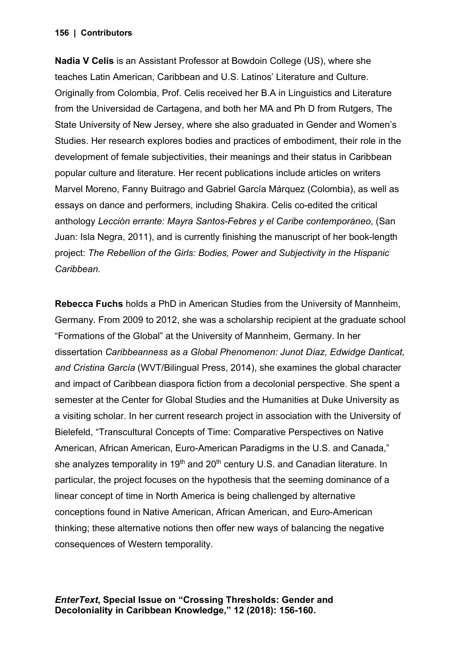## **| Contributors 156**

**Nadia V Celis** is an Assistant Professor at Bowdoin College (US), where she teaches Latin American, Caribbean and U.S. Latinos' Literature and Culture. Originally from Colombia, Prof. Celis received her B.A in Linguistics and Literature from the Universidad de Cartagena, and both her MA and Ph D from Rutgers, The State University of New Jersey, where she also graduated in Gender and Women's Studies. Her research explores bodies and practices of embodiment, their role in the development of female subjectivities, their meanings and their status in Caribbean popular culture and literature. Her recent publications include articles on writers Marvel Moreno, Fanny Buitrago and Gabriel García Márquez (Colombia), as well as essays on dance and performers, including Shakira. Celis co-edited the critical anthology *Lección errante: Mayra Santos-Febres y el Caribe contemporáneo*, (San Juan: Isla Negra, 2011), and is currently finishing the manuscript of her book-length project: *The Rebellion of the Girls: Bodies, Power and Subjectivity in the Hispanic Caribbean.*

**Rebecca Fuchs** holds a PhD in American Studies from the University of Mannheim, Germany. From 2009 to 2012, she was a scholarship recipient at the graduate school "Formations of the Global" at the University of Mannheim, Germany. In her dissertation *Caribbeanness as a Global Phenomenon: Junot Díaz, Edwidge Danticat, and Cristina García* (WVT/Bilingual Press, 2014), she examines the global character and impact of Caribbean diaspora fiction from a decolonial perspective. She spent a semester at the Center for Global Studies and the Humanities at Duke University as a visiting scholar. In her current research project in association with the University of Bielefeld, "Transcultural Concepts of Time: Comparative Perspectives on Native American, African American, Euro-American Paradigms in the U.S. and Canada," she analyzes temporality in 19<sup>th</sup> and 20<sup>th</sup> century U.S. and Canadian literature. In particular, the project focuses on the hypothesis that the seeming dominance of a linear concept of time in North America is being challenged by alternative conceptions found in Native American, African American, and Euro-American thinking; these alternative notions then offer new ways of balancing the negative consequences of Western temporality.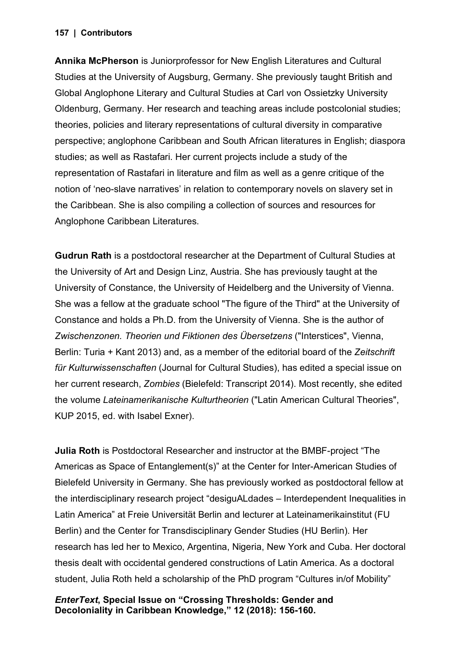## **| Contributors 157**

**Annika McPherson** is Juniorprofessor for New English Literatures and Cultural Studies at the University of Augsburg, Germany. She previously taught British and Global Anglophone Literary and Cultural Studies at Carl von Ossietzky University Oldenburg, Germany. Her research and teaching areas include postcolonial studies; theories, policies and literary representations of cultural diversity in comparative perspective; anglophone Caribbean and South African literatures in English; diaspora studies; as well as Rastafari. Her current projects include a study of the representation of Rastafari in literature and film as well as a genre critique of the notion of 'neo-slave narratives' in relation to contemporary novels on slavery set in the Caribbean. She is also compiling a collection of sources and resources for Anglophone Caribbean Literatures.

**Gudrun Rath** is a postdoctoral researcher at the Department of Cultural Studies at the University of Art and Design Linz, Austria. She has previously taught at the University of Constance, the University of Heidelberg and the University of Vienna. She was a fellow at the graduate school "The figure of the Third" at the University of Constance and holds a Ph.D. from the University of Vienna. She is the author of *Zwischenzonen. Theorien und Fiktionen des Übersetzens* ("Interstices", Vienna, Berlin: Turia + Kant 2013) and, as a member of the editorial board of the *Zeitschrift für Kulturwissenschaften* (Journal for Cultural Studies), has edited a special issue on her current research, *Zombies* (Bielefeld: Transcript 2014). Most recently, she edited the volume *Lateinamerikanische Kulturtheorien* ("Latin American Cultural Theories", KUP 2015, ed. with Isabel Exner).

**Julia Roth** is Postdoctoral Researcher and instructor at the BMBF-project "The Americas as Space of Entanglement(s)" at the Center for Inter-American Studies of Bielefeld University in Germany. She has previously worked as postdoctoral fellow at the interdisciplinary research project "desiguALdades – Interdependent Inequalities in Latin America" at Freie Universität Berlin and lecturer at Lateinamerikainstitut (FU Berlin) and the Center for Transdisciplinary Gender Studies (HU Berlin). Her research has led her to Mexico, Argentina, Nigeria, New York and Cuba. Her doctoral thesis dealt with occidental gendered constructions of Latin America. As a doctoral student, Julia Roth held a scholarship of the PhD program "Cultures in/of Mobility"

*EnterText***, Special Issue on "Crossing Thresholds: Gender and Decoloniality in Caribbean Knowledge," 12 (2018): 156-160.**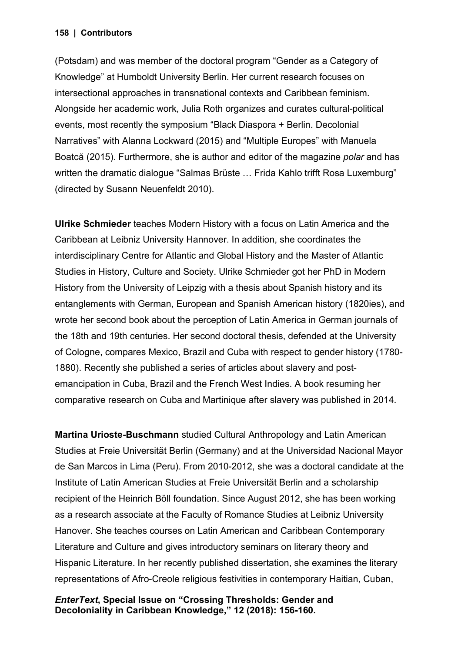## **| Contributors 158**

(Potsdam) and was member of the doctoral program "Gender as a Category of Knowledge" at Humboldt University Berlin. Her current research focuses on intersectional approaches in transnational contexts and Caribbean feminism. Alongside her academic work, Julia Roth organizes and curates cultural-political events, most recently the symposium "Black Diaspora + Berlin. Decolonial Narratives" with Alanna Lockward (2015) and "Multiple Europes" with Manuela Boatcă (2015). Furthermore, she is author and editor of the magazine *polar* and has written the dramatic dialogue "Salmas Brüste ... Frida Kahlo trifft Rosa Luxemburg" (directed by Susann Neuenfeldt 2010).

**Ulrike Schmieder** teaches Modern History with a focus on Latin America and the Caribbean at Leibniz University Hannover. In addition, she coordinates the interdisciplinary Centre for Atlantic and Global History and the Master of Atlantic Studies in History, Culture and Society. Ulrike Schmieder got her PhD in Modern History from the University of Leipzig with a thesis about Spanish history and its entanglements with German, European and Spanish American history (1820ies), and wrote her second book about the perception of Latin America in German journals of the 18th and 19th centuries. Her second doctoral thesis, defended at the University of Cologne, compares Mexico, Brazil and Cuba with respect to gender history (1780- 1880). Recently she published a series of articles about slavery and postemancipation in Cuba, Brazil and the French West Indies. A book resuming her comparative research on Cuba and Martinique after slavery was published in 2014.

**Martina Urioste-Buschmann** studied Cultural Anthropology and Latin American Studies at Freie Universität Berlin (Germany) and at the Universidad Nacional Mayor de San Marcos in Lima (Peru). From 2010-2012, she was a doctoral candidate at the Institute of Latin American Studies at Freie Universität Berlin and a scholarship recipient of the Heinrich Böll foundation. Since August 2012, she has been working as a research associate at the Faculty of Romance Studies at Leibniz University Hanover. She teaches courses on Latin American and Caribbean Contemporary Literature and Culture and gives introductory seminars on literary theory and Hispanic Literature. In her recently published dissertation, she examines the literary representations of Afro-Creole religious festivities in contemporary Haitian, Cuban,

*EnterText***, Special Issue on "Crossing Thresholds: Gender and Decoloniality in Caribbean Knowledge," 12 (2018): 156-160.**